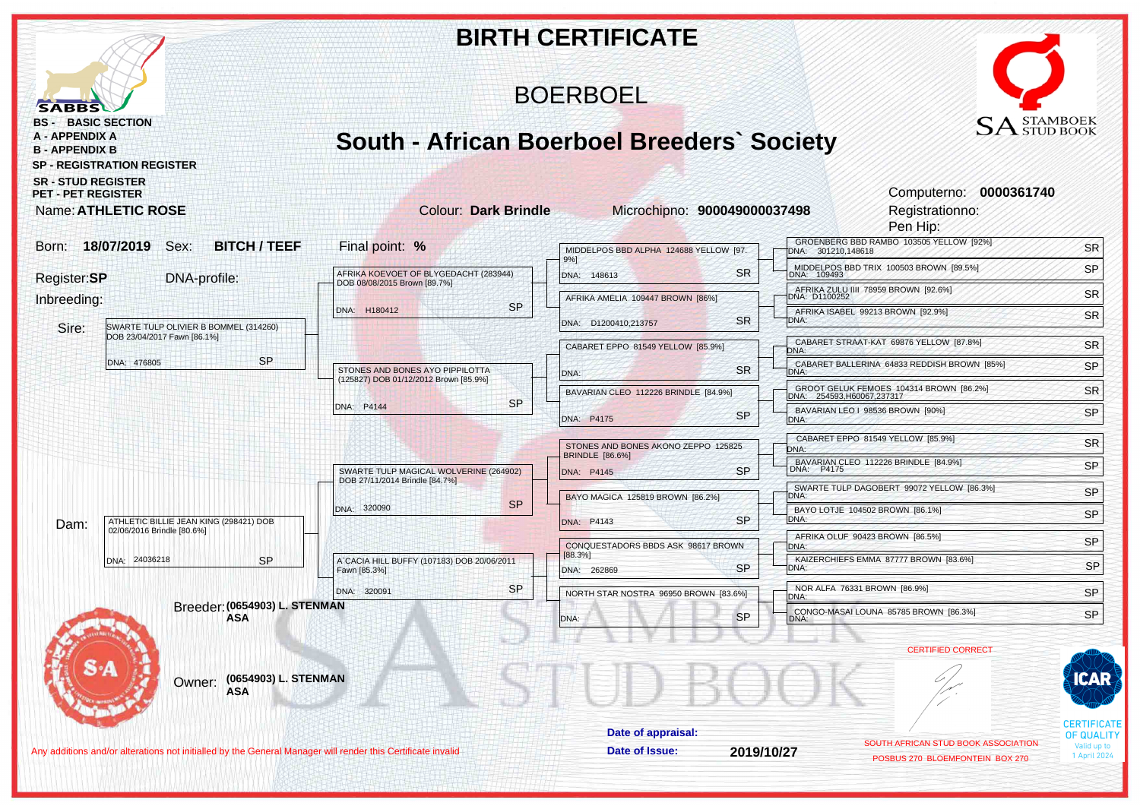|                                                                                                                  |                                                                                                     | <b>BIRTH CERTIFICATE</b>                                      |                                                                        |                                                  |  |  |  |  |  |  |  |
|------------------------------------------------------------------------------------------------------------------|-----------------------------------------------------------------------------------------------------|---------------------------------------------------------------|------------------------------------------------------------------------|--------------------------------------------------|--|--|--|--|--|--|--|
| <b>SABBS</b>                                                                                                     | <b>BOERBOEL</b>                                                                                     |                                                               |                                                                        |                                                  |  |  |  |  |  |  |  |
| <b>BS - BASIC SECTION</b><br><b>A - APPENDIX A</b><br><b>B - APPENDIX B</b><br><b>SP - REGISTRATION REGISTER</b> | $\text{SA}^\text{STAMBOEK}_{\text{STUD BOOK}}$<br><b>South - African Boerboel Breeders' Society</b> |                                                               |                                                                        |                                                  |  |  |  |  |  |  |  |
| <b>SR - STUD REGISTER</b><br><b>PET - PET REGISTER</b><br>Name: ATHLETIC ROSE                                    | <b>Colour: Dark Brindle</b>                                                                         | Microchipno: 900049000037498                                  | Computerno: 0000361740<br>Registrationno:<br>Pen Hip:                  |                                                  |  |  |  |  |  |  |  |
| 18/07/2019<br>Sex:<br><b>BITCH / TEEF</b><br>Born:                                                               | Final point: %                                                                                      | MIDDELPOS BBD ALPHA 124688 YELLOW [97.                        | GROENBERG BBD RAMBO 103505 YELLOW [92%]                                | <b>SR</b>                                        |  |  |  |  |  |  |  |
|                                                                                                                  |                                                                                                     | 9%]                                                           | DNA: 301210,148618<br>MIDDELPOS BBD TRIX 100503 BROWN [89.5%]          | SP                                               |  |  |  |  |  |  |  |
| Register:SP<br>DNA-profile:                                                                                      | AFRIKA KOEVOET OF BLYGEDACHT (283944)<br>DOB 08/08/2015 Brown [89.7%]                               | <b>SR</b><br>DNA: 148613                                      | AFRIKA ZULU IIII 78959 BROWN [92.6%]<br>DNA: D1100252                  |                                                  |  |  |  |  |  |  |  |
| Inbreeding:                                                                                                      | <b>SP</b><br>DNA: H180412                                                                           | AFRIKA AMELIA 109447 BROWN [86%]                              | AFRIKA ISABEL 99213 BROWN [92.9%]                                      | <b>SR</b><br>SR                                  |  |  |  |  |  |  |  |
| SWARTE TULP OLIVIER B BOMMEL (314260)<br>Sire:<br>DOB 23/04/2017 Fawn [86.1%]                                    |                                                                                                     | <b>SR</b><br>DNA: D1200410,213757                             | DNA:                                                                   |                                                  |  |  |  |  |  |  |  |
|                                                                                                                  |                                                                                                     | CABARET EPPO 81549 YELLOW [85.9%]                             | CABARET STRAAT-KAT 69876 YELLOW [87.8%]<br>DNA:                        | <b>SR</b>                                        |  |  |  |  |  |  |  |
| <b>SP</b><br>DNA: 476805                                                                                         | STONES AND BONES AYO PIPPILOTTA                                                                     | <b>SR</b><br>DNA:                                             | CABARET BALLERINA 64833 REDDISH BROWN [85%]<br>DNA:                    | SP                                               |  |  |  |  |  |  |  |
|                                                                                                                  | (125827) DOB 01/12/2012 Brown [85.9%]                                                               | BAVARIAN CLEO 112226 BRINDLE [84.9%]                          | GROOT GELUK FEMOES 104314 BROWN [86.2%]<br>DNA: 254593, H60067, 237317 | <b>SR</b>                                        |  |  |  |  |  |  |  |
|                                                                                                                  | <b>SP</b><br>DNA: P4144                                                                             | <b>SP</b><br>DNA: P4175                                       | BAVARIAN LEO   98536 BROWN [90%]<br>DNA:                               | SP                                               |  |  |  |  |  |  |  |
|                                                                                                                  |                                                                                                     |                                                               | CABARET EPPO 81549 YELLOW [85.9%]                                      |                                                  |  |  |  |  |  |  |  |
|                                                                                                                  |                                                                                                     | STONES AND BONES AKONO ZEPPO 125825<br><b>BRINDLE</b> [86.6%] | DNA:                                                                   | <b>SR</b>                                        |  |  |  |  |  |  |  |
|                                                                                                                  | SWARTE TULP MAGICAL WOLVERINE (264902)<br>DOB 27/11/2014 Brindle [84.7%]                            | <b>SP</b><br>DNA: P4145                                       | BAVARIAN CLEO 112226 BRINDLE [84.9%]<br>DNA: P4175                     | SP                                               |  |  |  |  |  |  |  |
|                                                                                                                  | <b>SP</b>                                                                                           | BAYO MAGICA 125819 BROWN [86.2%]                              | SWARTE TULP DAGOBERT 99072 YELLOW [86.3%]<br>DNA:                      | SP                                               |  |  |  |  |  |  |  |
| ATHLETIC BILLIE JEAN KING (298421) DOB<br>Dam:                                                                   | DNA: 320090                                                                                         | <b>SP</b><br>DNA: P4143                                       | BAYO LOTJE 104502 BROWN [86.1%]<br>DNA:                                | SP                                               |  |  |  |  |  |  |  |
| 02/06/2016 Brindle [80.6%]                                                                                       |                                                                                                     | CONQUESTADORS BBDS ASK 98617 BROWN                            | AFRIKA OLUF 90423 BROWN [86.5%]<br>DNA:                                | SP                                               |  |  |  |  |  |  |  |
| DNA: 24036218<br><b>SP</b>                                                                                       | A`CACIA HILL BUFFY (107183) DOB 20/06/2011<br>Fawn [85.3%]                                          | [88.3%]<br><b>SP</b><br>DNA: 262869                           | KAIZERCHIEFS EMMA 87777 BROWN [83.6%]<br>DNA:                          | SP                                               |  |  |  |  |  |  |  |
|                                                                                                                  | <b>SP</b><br>DNA: 320091                                                                            |                                                               | NOR ALFA 76331 BROWN [86.9%]                                           | SP                                               |  |  |  |  |  |  |  |
| Breeder: (0654903) L. STENMAN                                                                                    |                                                                                                     | NORTH STAR NOSTRA 96950 BROWN [83.6%]                         | DNA:<br>CONGO-MASAI LOUNA 85785 BROWN [86.3%]                          | <b>SP</b>                                        |  |  |  |  |  |  |  |
| ASA                                                                                                              |                                                                                                     | <b>QD</b><br>ONA:                                             | <b>DIVA</b>                                                            |                                                  |  |  |  |  |  |  |  |
|                                                                                                                  |                                                                                                     |                                                               | <b>CERTIFIED CORRECT</b>                                               |                                                  |  |  |  |  |  |  |  |
| (0654903) L. STENMAN<br>Owner:<br><b>ASA</b>                                                                     |                                                                                                     |                                                               |                                                                        | CAR                                              |  |  |  |  |  |  |  |
|                                                                                                                  |                                                                                                     | Date of appraisal:                                            |                                                                        | <b>CERTIFICATE</b>                               |  |  |  |  |  |  |  |
| Any additions and/or alterations not initialled by the General Manager will render this Certificate invalid      |                                                                                                     | Date of Issue:<br>2019/10/27                                  | SOUTH AFRICAN STUD BOOK ASSOCIATION                                    | <b>OF QUALITY</b><br>Valid up to<br>1 April 2024 |  |  |  |  |  |  |  |
|                                                                                                                  |                                                                                                     |                                                               | POSBUS 270 BLOEMFONTEIN BOX 270                                        |                                                  |  |  |  |  |  |  |  |